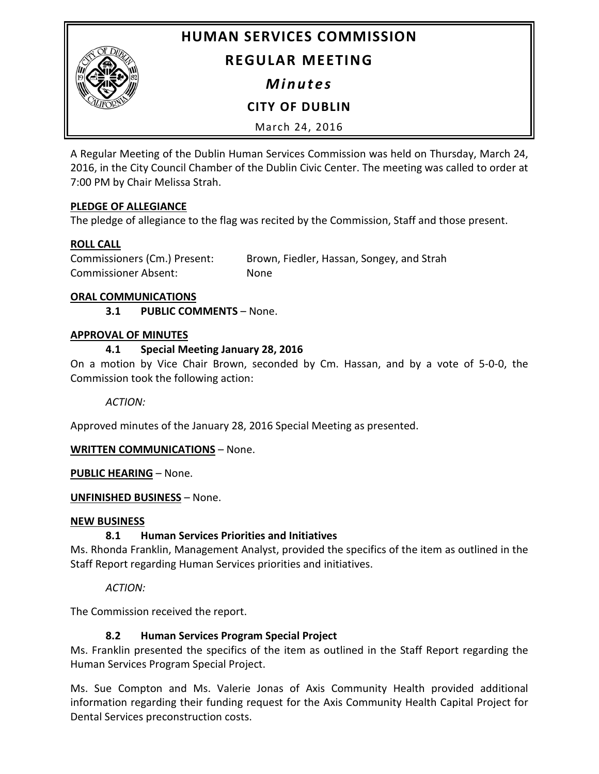**HUMAN SERVICES COMMISSION**



# **REGULAR MEETING**

*Minutes*

**CITY OF DUBLIN**

March 24, 2016

A Regular Meeting of the Dublin Human Services Commission was held on Thursday, March 24, 2016, in the City Council Chamber of the Dublin Civic Center. The meeting was called to order at 7:00 PM by Chair Melissa Strah.

# **PLEDGE OF ALLEGIANCE**

The pledge of allegiance to the flag was recited by the Commission, Staff and those present.

# **ROLL CALL**

Commissioners (Cm.) Present: Brown, Fiedler, Hassan, Songey, and Strah Commissioner Absent: None

#### **ORAL COMMUNICATIONS**

**3.1 PUBLIC COMMENTS** – None.

### **APPROVAL OF MINUTES**

### **4.1 Special Meeting January 28, 2016**

On a motion by Vice Chair Brown, seconded by Cm. Hassan, and by a vote of 5-0-0, the Commission took the following action:

*ACTION:*

Approved minutes of the January 28, 2016 Special Meeting as presented.

# **WRITTEN COMMUNICATIONS** – None.

**PUBLIC HEARING** – None.

# **UNFINISHED BUSINESS** – None.

#### **NEW BUSINESS**

# **8.1 Human Services Priorities and Initiatives**

Ms. Rhonda Franklin, Management Analyst, provided the specifics of the item as outlined in the Staff Report regarding Human Services priorities and initiatives.

*ACTION:*

The Commission received the report.

# **8.2 Human Services Program Special Project**

Ms. Franklin presented the specifics of the item as outlined in the Staff Report regarding the Human Services Program Special Project.

Ms. Sue Compton and Ms. Valerie Jonas of Axis Community Health provided additional information regarding their funding request for the Axis Community Health Capital Project for Dental Services preconstruction costs.